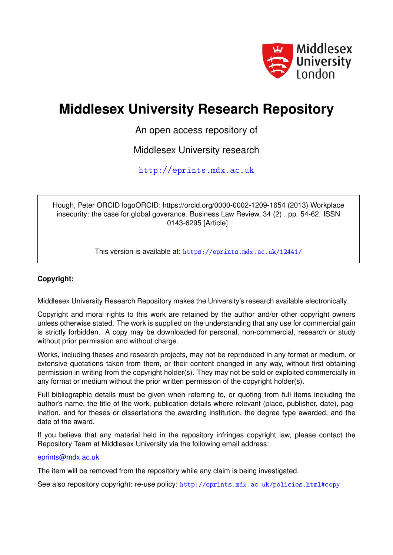

# **Middlesex University Research Repository**

An open access repository of

Middlesex University research

<http://eprints.mdx.ac.uk>

Hough, Peter ORCID logoORCID: https://orcid.org/0000-0002-1209-1654 (2013) Workplace insecurity: the case for global goverance. Business Law Review, 34 (2) . pp. 54-62. ISSN 0143-6295 [Article]

This version is available at: <https://eprints.mdx.ac.uk/12441/>

# **Copyright:**

Middlesex University Research Repository makes the University's research available electronically.

Copyright and moral rights to this work are retained by the author and/or other copyright owners unless otherwise stated. The work is supplied on the understanding that any use for commercial gain is strictly forbidden. A copy may be downloaded for personal, non-commercial, research or study without prior permission and without charge.

Works, including theses and research projects, may not be reproduced in any format or medium, or extensive quotations taken from them, or their content changed in any way, without first obtaining permission in writing from the copyright holder(s). They may not be sold or exploited commercially in any format or medium without the prior written permission of the copyright holder(s).

Full bibliographic details must be given when referring to, or quoting from full items including the author's name, the title of the work, publication details where relevant (place, publisher, date), pagination, and for theses or dissertations the awarding institution, the degree type awarded, and the date of the award.

If you believe that any material held in the repository infringes copyright law, please contact the Repository Team at Middlesex University via the following email address:

#### [eprints@mdx.ac.uk](mailto:eprints@mdx.ac.uk)

The item will be removed from the repository while any claim is being investigated.

See also repository copyright: re-use policy: <http://eprints.mdx.ac.uk/policies.html#copy>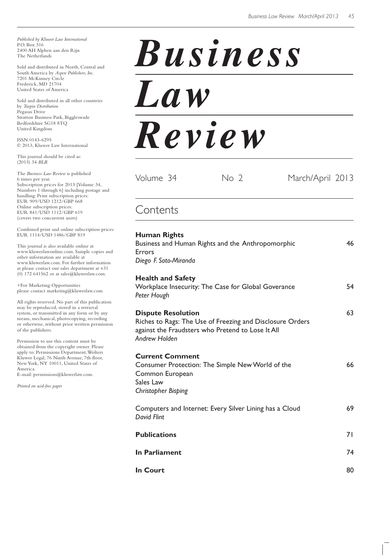*Published by Kluwer Law International* P.O. Box 316 2400 AH Alphen aan den Rijn The Netherlands

Sold and distributed in North, Central and South America by *Aspen Publishers, Inc*. 7201 McKinney Circle Frederick, MD 21704 United States of America

Sold and distributed in all other countries by *Turpin Distribution* Pegasus Drive Stratton Business Park, Biggleswade Bedfordshire SG18 8TQ United Kingdom

ISSN 0143-6295 © 2013, Kluwer Law International

This journal should be cited as: (2013) 34 *BLR*

The *Business Law Review* is published 6 times per year. Subscription prices for 2013 [Volume 34, Numbers 1 through 6] including postage and handling: Print subscription prices: EUR 909/USD 1212/GBP 668 Online subscription prices: EUR 841/USD 1112/GBP 619 (covers two concurrent users)

Combined print and online subscription prices: EUR 1114/USD 1486/GBP 819

This journal is also available online at www.kluwerlawonline.com. Sample copies and other information are available at www.kluwerlaw.com. For further information at please contact our sales department at +31  $(0)$  172 641562 or at sales@kluwerlaw.com.

+For Marketing Opportunities please contact marketing@kluwerlaw.com

All rights reserved. No part of this publication may be reproduced, stored in a retrieval system, or transmitted in any form or by any means, mechanical, photocopying, recording or otherwise, without prior written permission of the publishers.

Permission to use this content must be obtained from the copyright owner. Please apply to: Permissions Department,Wolters Kluwer Legal, 76 Ninth Avenue, 7th floor, New York, NY 10011, United States of America. E-mail: permissions@kluwerlaw.com.

*Printed on acid-free paper*

# *Business*

*Law*



| Volume 34                                                                                                                                   | No 2 | March/April 2013 |  |  |  |
|---------------------------------------------------------------------------------------------------------------------------------------------|------|------------------|--|--|--|
| Contents                                                                                                                                    |      |                  |  |  |  |
| <b>Human Rights</b><br>46<br>Business and Human Rights and the Anthropomorphic<br>Errors<br>Diego F. Soto-Miranda                           |      |                  |  |  |  |
| <b>Health and Safety</b><br>Workplace Insecurity: The Case for Global Goverance<br>Peter Hough                                              | 54   |                  |  |  |  |
| <b>Dispute Resolution</b><br>Riches to Rags: The Use of Freezing and Disclosure Orders<br>against the Fraudsters who Pretend to Lose It All |      | 63               |  |  |  |

*Andrew Holden*

#### **Current Comment**

| Consumer Protection: The Simple New World of the                       | 66 |
|------------------------------------------------------------------------|----|
| Common European                                                        |    |
| Sales Law                                                              |    |
| Christopher Bisping                                                    |    |
| Computers and Internet: Every Silver Lining has a Cloud<br>David Flint | 69 |
| <b>Publications</b>                                                    | 71 |
| In Parliament                                                          | 74 |
|                                                                        |    |

**In Court** 80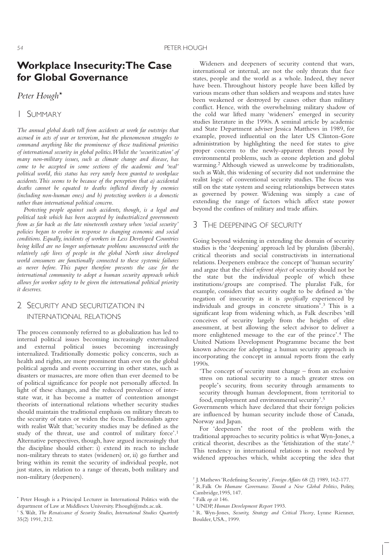# **Workplace Insecurity:The Case for Global Governance**

#### *Peter Hough\**

#### 1 SUMMARY

*The annual global death toll from accidents at work far outstrips that accrued in acts of war or terrorism, but the phenomenon struggles to command anything like the prominence of these traditional priorities of international security in global politics.Whilst the 'securitization' of many non-military issues, such as climate change and disease, has come to be accepted in some sections of the academic and 'real' political world, this status has very rarely been granted to workplace accidents.This seems to be because of the perception that a) accidental deaths cannot be equated to deaths inflicted directly by enemies (including non-human ones) and b) protecting workers is a domestic rather than international political concern.*

*Protecting people against such accidents, though, is a legal and political task which has been accepted by industrialized governments from as far back as the late nineteenth century when 'social security' policies began to evolve in response to changing economic and social conditions. Equally, incidents of workers in Less Developed Countries being killed are no longer unfortunate problems unconnected with the relatively safe lives of people in the global North since developed world consumers are functionally connected to these systemic failures as never before. This paper therefore presents the case for the international community to adopt a human security approach which allows for worker safety to be given the international political priority it deserves.*

# 2 SECURITY AND SECURITIZATION IN INTERNATIONAL RELATIONS

The process commonly referred to as globalization has led to internal political issues becoming increasingly externalized and external political issues becoming increasingly internalized. Traditionally domestic policy concerns, such as health and rights, are more prominent than ever on the global political agenda and events occurring in other states, such as disasters or massacres, are more often than ever deemed to be of political significance for people not personally affected. In light of these changes, and the reduced prevalence of interstate war, it has become a matter of contention amongst theorists of international relations whether security studies should maintain the traditional emphasis on military threats to the security of states or widen the focus.Traditionalists agree with realist Walt that; 'security studies may be defined as the study of the threat, use and control of military force'.1 Alternative perspectives, though, have argued increasingly that the discipline should either: i) extend its reach to include non-military threats to states (wideners) or, ii) go further and bring within its remit the security of individual people, not just states, in relation to a range of threats, both military and non-military (deepeners).

Wideners and deepeners of security contend that wars, international or internal, are not the only threats that face states, people and the world as a whole. Indeed, they never have been. Throughout history people have been killed by various means other than soldiers and weapons and states have been weakened or destroyed by causes other than military conflict. Hence, with the overwhelming military shadow of the cold war lifted many 'wideners' emerged in security studies literature in the 1990s. A seminal article by academic and State Department adviser Jessica Matthews in 1989, for example, proved influential on the later US Clinton-Gore administration by highlighting the need for states to give proper concern to the newly-apparent threats posed by environmental problems, such as ozone depletion and global warming.2 Although viewed as unwelcome by traditionalists, such as Walt, this widening of security did not undermine the realist logic of conventional security studies. The focus was still on the state system and seeing relationships between states as governed by power. Widening was simply a case of extending the range of factors which affect state power beyond the confines of military and trade affairs.

#### 3 THE DEEPENING OF SECURITY

Going beyond widening in extending the domain of security studies is the 'deepening' approach led by pluralists (liberals), critical theorists and social constructivists in international relations. Deepeners embrace the concept of 'human security' and argue that the chief *referent object* of security should not be the state but the individual people of which these institutions/groups are comprised. The pluralist Falk, for example, considers that security ought to be defined as 'the negation of insecurity as it is *specifically* experienced by individuals and groups in concrete situations'. <sup>3</sup> This is a significant leap from widening which, as Falk describes 'still conceives of security largely from the heights of elite assessment, at best allowing the select advisor to deliver a more enlightened message to the ear of the prince'.4 The United Nations Development Programme became the best known advocate for adopting a human security approach in incorporating the concept in annual reports from the early 1990s.

'The concept of security must change – from an exclusive stress on national security to a much greater stress on people's security, from security through armaments to security through human development, from territorial to food, employment and environmental security'.5

Governments which have declared that their foreign policies are influenced by human security include those of Canada, Norway and Japan.

For 'deepeners' the root of the problem with the traditional approaches to security politics is whatWyn-Jones, a critical theorist, describes as the 'fetishization of the state'.6 This tendency in international relations is not resolved by widened approaches which, whilst accepting the idea that

<sup>\*</sup> Peter Hough is a Principal Lecturer in International Politics with the department of Law at Middlesex University. P.hough@mdx.ac.uk.

<sup>&</sup>lt;sup>1</sup> S. Walt, *The Renaissance of Security Studies, International Studies Quarterly* 35(2) 1991, 212.

<sup>2</sup> J. Mathews 'Redefining Security', *Foreign Affairs* 68 (2) 1989, 162-177.

<sup>3</sup> R.Falk *On Humane Governance. Toward a New Global Politics*, Polity, Cambridge,1995, 147.

<sup>4</sup> Falk *op cit* 146.

<sup>5</sup> UNDP, *Human Development Report* 1993.

<sup>6</sup> R. Wyn-Jones, *Security, Strategy and Critical Theory*, Lynne Rienner, Boulder, USA., 1999.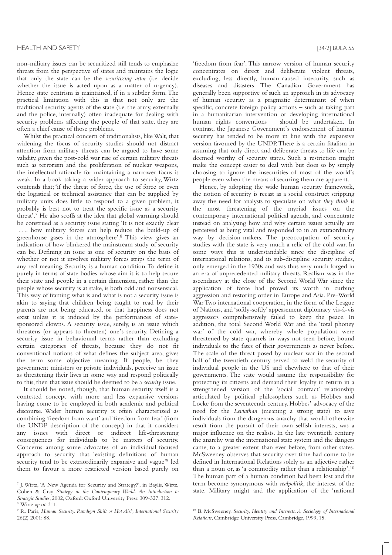non-military issues can be securitized still tends to emphasize threats from the perspective of states and maintains the logic that only the state can be the *securitizing actor* (i.e. decide whether the issue is acted upon as a matter of urgency). Hence state centrism is maintained, if in a subtler form. The practical limitation with this is that not only are the traditional security agents of the state (i.e. the army, externally and the police, internally) often inadequate for dealing with security problems affecting the people of that state, they are often a chief cause of those problems.

Whilst the practical concern of traditionalists, like Walt, that widening the focus of security studies should not distract attention from military threats can be argued to have some validity, given the post-cold war rise of certain military threats such as terrorism and the proliferation of nuclear weapons, the intellectual rationale for maintaining a narrower focus is weak. In a book taking a wider approach to security, Wirtz contends that; 'if the threat of force, the use of force or even the logistical or technical assistance that can be supplied by military units does little to respond to a given problem, it probably is best not to treat the specific issue as a security threat'.7 He also scoffs at the idea that global warming should be construed as a security issue stating 'It is not exactly clear . . .. how military forces can help reduce the build-up of greenhouse gases in the atmosphere'.8 This view gives an indication of how blinkered the mainstream study of security can be. Defining an issue as one of security on the basis of whether or not it involves military forces strips the term of any real meaning. Security is a human condition.To define it purely in terms of state bodies whose aim it is to help secure their state and people in a certain dimension, rather than the people whose security is at stake, is both odd and nonsensical. This way of framing what is and what is not a security issue is akin to saying that children being taught to read by their parents are not being educated, or that happiness does not exist unless it is induced by the performances of statesponsored clowns. A security issue, surely, is an issue which threatens (or appears to threaten) one's security. Defining a security issue in behavioural terms rather than excluding certain categories of threats, because they do not fit conventional notions of what defines the subject area, gives the term some objective meaning. If people, be they government ministers or private individuals, perceive an issue as threatening their lives in some way and respond politically to this, then that issue should be deemed to be a *security* issue.

It should be noted, though, that human security itself is a contested concept with more and less expansive versions having come to be employed in both academic and political discourse. Wider human security is often characterized as combining 'freedom from want' and 'freedom from fear' (from the UNDP description of the concept) in that it considers any issues with direct or indirect life-threatening consequences for individuals to be matters of security. Concerns among some advocates of an individual-focused approach to security that 'existing definitions of human security tend to be extraordinarily expansive and vague'<sup>9</sup> led them to favour a more restricted version based purely on

'freedom from fear'. This narrow version of human security concentrates on direct and deliberate violent threats, excluding, less directly, human-caused insecurity, such as diseases and disasters. The Canadian Government has generally been supportive of such an approach in its advocacy of human security as a pragmatic determinant of when specific, concrete foreign policy actions – such as taking part in a humanitarian intervention or developing international human rights conventions – should be undertaken. In contrast, the Japanese Government's endorsement of human security has tended to be more in line with the expansive version favoured by the UNDP.There is a certain fatalism in assuming that only direct and deliberate threats to life can be deemed worthy of security status. Such a restriction might make the concept easier to deal with but does so by simply choosing to ignore the insecurities of most of the world's people even when the means of securing them are apparent.

Hence, by adopting the wide human security framework, the notion of security is recast as a social construct stripping away the need for analysts to speculate on what *they think* is the most threatening of the myriad issues on the contemporary international political agenda, and concentrate instead on analysing how and why certain issues actually are perceived as being vital and responded to in an extraordinary way by decision-makers. The preoccupation of security studies with the state is very much a relic of the cold war. In some ways this is understandable since the discipline of international relations, and its sub-discipline security studies, only emerged in the 1930s and was thus very much forged in an era of unprecedented military threats. Realism was in the ascendancy at the close of the Second World War since the application of force had proved its worth in curbing aggression and restoring order in Europe and Asia. Pre-World War Two international cooperation, in the form of the League of Nations, and 'softly-softly' appeasement diplomacy vis-à-vis aggressors comprehensively failed to keep the peace. In addition, the total Second World War and the 'total phoney war' of the cold war, whereby whole populations were threatened by state quarrels in ways not seen before, bound individuals to the fates of their governments as never before. The scale of the threat posed by nuclear war in the second half of the twentieth century served to weld the security of individual people in the US and elsewhere to that of their governments. The state would assume the responsibility for protecting its citizens and demand their loyalty in return in a strengthened version of the 'social contract' relationship articulated by political philosophers such as Hobbes and Locke from the seventeenth century. Hobbes' advocacy of the need for the *Leviathan* (meaning a strong state) to save individuals from the dangerous anarchy that would otherwise result from the pursuit of their own selfish interests, was a major influence on the realists. In the late twentieth century the anarchy was the international state system and the dangers came, to a greater extent than ever before, from other states. McSweeney observes that security over time had come to be defined in International Relations solely as an adjective rather than a noun or, as 'a commodity rather than a relationship'.10 The human part of a human condition had been lost and the term become synonymous with *realpolitik*, the interest of the state. Military might and the application of the 'national

<sup>7</sup> J. Wirtz, 'A New Agenda for Security and Strategy?', in Baylis, Wirtz, Cohen & Gray *Strategy in the Contemporary World. An Introduction to Strategic Studies*, 2002, Oxford: Oxford University Press: 309-327: 312. <sup>8</sup> Wirtz *op cit*: 311.

<sup>9</sup> R. Paris, *Human Security. Paradigm Shift or Hot Air?, International Security* 26(2) 2001: 88.

<sup>&</sup>lt;sup>10</sup> B. McSweeney, *Security*, Identity and Interests. A Sociology of International *Relations*, Cambridge University Press, Cambridge, 1999, 15.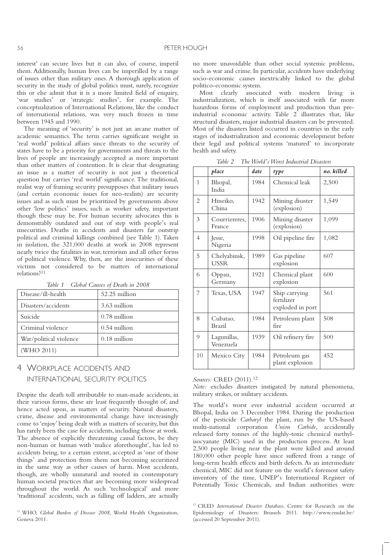interest' can secure lives but it can also, of course, imperil them. Additionally, human lives can be imperilled by a range of issues other than military ones. A thorough application of security in the study of global politics must, surely, recognize this or else admit that it is a more limited field of enquiry, 'war studies' or 'strategic studies', for example. The conceptualization of International Relations, like the conduct of international relations, was very much frozen in time between 1945 and 1990.

The meaning of 'security' is not just an arcane matter of academic semantics. The term carries significant weight in 'real world' political affairs since threats to the security of states have to be a priority for governments and threats to the lives of people are increasingly accepted as more important than other matters of contention. It is clear that designating an issue as a matter of security is not just a theoretical question but carries 'real world' significance. The traditional, realist way of framing security presupposes that military issues (and certain economic issues for neo-realists) are security issues and as such must be prioritized by governments above other 'low politics' issues, such as worker safety, important though these may be. For human security advocates this is demonstrably outdated and out of step with people's real insecurities. Deaths in accidents and disasters far outstrip political and criminal killings combined (see Table 1). Taken in isolation, the 321,000 deaths at work in 2008 represent nearly twice the fatalities in war, terrorism and all other forms of political violence. Why, then, are the insecurities of these victims not considered to be matters of international relations?11

| Disease/ill-health     | 52.25 million  |
|------------------------|----------------|
| Disasters/accidents    | 3.63 million   |
| Suicide                | $0.78$ million |
| Criminal violence      | $0.54$ million |
| War/political violence | $0.18$ million |
| (WHO 2011)             |                |

*Table 1 Global Causes of Death in 2008*

# 4 WORKPLACE ACCIDENTS AND INTERNATIONAL SECURITY POLITICS

Despite the death toll attributable to man-made accidents, in their various forms, these are least frequently thought of, and hence acted upon, as matters of security. Natural disasters, crime, disease and environmental change have increasingly come to 'enjoy' being dealt with as matters of security, but this has rarely been the case for accidents, including those at work. The absence of explicitly threatening causal factors, be they non-human or human with 'malice aforethought', has led to accidents being, to a certain extent, accepted as 'one of those things' and protection from them not becoming securitized in the same way as other causes of harm. Most accidents, though, are wholly unnatural and rooted in contemporary human societal practices that are becoming more widespread throughout the world. As such 'technological' and more 'traditional' accidents, such as falling off ladders, are actually

<sup>11</sup> WHO, *Global Burden of Disease 2008*, World Health Organization, Geneva 2011.

no more unavoidable than other social systemic problems, such as war and crime. In particular, accidents have underlying socio-economic causes inextricably linked to the global politico-economic system.

Most clearly associated with modern living is industrialization, which is itself associated with far more hazardous forms of employment and production than preindustrial economic activity. Table  $2$  illustrates that, like structural disasters, major industrial disasters can be prevented. Most of the disasters listed occurred in countries in the early stages of industrialization and economic development before their legal and political systems 'matured' to incorporate health and safety.

|                | place                       | date | type                                            | no. killed |
|----------------|-----------------------------|------|-------------------------------------------------|------------|
| $\mathbf{1}$   | Bhopal,<br>India            | 1984 | Chemical leak                                   | 2,500      |
| 2              | Hineiko,<br>China           | 1942 | Mining disaster<br>(explosion)                  | 1,549      |
| 3              | Courriereres,<br>France     | 1906 | Mining disaster<br>(explosion)                  | 1,099      |
| $\overline{4}$ | Jesse,<br>Nigeria           | 1998 | Oil pipeline fire                               | 1,082      |
| 5              | Chelyabinsk,<br><b>USSR</b> | 1989 | Gas pipeline<br>explosion                       | 607        |
| 6              | Oppau,<br>Germany           | 1921 | Chemical plant<br>explosion                     | 600        |
| 7              | Texas, USA                  | 1947 | Ship carrying<br>fertilizer<br>exploded in port | 561        |
| 8              | Cubatao,<br><b>Brazil</b>   | 1984 | Petroleum plant<br>fire                         | 508        |
| 9              | Lagunillas,<br>Venezuela    | 1939 | Oil refinery fire                               | 500        |
| 10             | Mexico City                 | 1984 | Petroleum gas<br>plant explosion                | 452        |

*Table 2 TheWorld'sWorst Industrial Disasters*

*Sources:* CRED (2011).12

*Note:* excludes disasters instigated by natural phenomena, military strikes, or military accidents.

The world's worst ever industrial accident occurred at Bhopal, India on 3 December 1984. During the production of the pesticide *Carbaryl* the plant, run by the US-based multi-national corporation *Union Carbide*, accidentally released forty tonnes of the highly-toxic chemical methylisocyanate (MIC) used in the production process. At least 2,500 people living near the plant were killed and around 180,000 other people have since suffered from a range of long-term health effects and birth defects. As an intermediate chemical, MIC did not feature on the world's foremost safety inventory of the time, UNEP's International Register of Potentially Toxic Chemicals, and Indian authorities were

<sup>12</sup> CRED *International Disaster Database*, Centre for Research on the Epidemiology of Disasters: Brussels 2011. http://www.emdat.be/ (accessed 20 September 2011).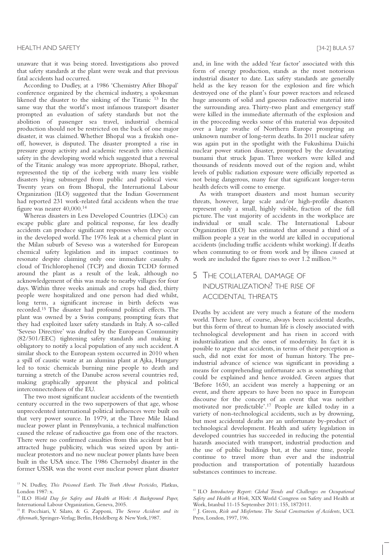unaware that it was being stored. Investigations also proved that safety standards at the plant were weak and that previous fatal accidents had occurred.

According to Dudley, at a 1986 'Chemistry After Bhopal' conference organized by the chemical industry, a spokesman likened the disaster to the sinking of the Titanic  $13$  In the same way that the world's most infamous transport disaster prompted an evaluation of safety standards but not the abolition of passenger sea travel, industrial chemical production should not be restricted on the back of one major disaster, it was claimed. Whether Bhopal was a freakish oneoff, however, is disputed. The disaster prompted a rise in pressure group activity and academic research into chemical safety in the developing world which suggested that a reversal of the Titanic analogy was more appropriate. Bhopal, rather, represented the tip of the iceberg with many less visible disasters lying submerged from public and political view. Twenty years on from Bhopal, the International Labour Organization (ILO) suggested that the Indian Government had reported 231 work-related fatal accidents when the true figure was nearer 40,000.14

Whereas disasters in Less Developed Countries (LDCs) can escape public glare and political response, far less deadly accidents can produce significant responses when they occur in the developed world.The 1976 leak at a chemical plant in the Milan suburb of Seveso was a watershed for European chemical safety legislation and its impact continues to resonate despite claiming only one immediate casualty. A cloud of Trichlorophenol (TCP) and dioxin TCDD formed around the plant as a result of the leak, although no acknowledgement of this was made to nearby villages for four days. Within three weeks animals and crops had died, thirty people were hospitalized and one person had died whilst, long term, a significant increase in birth defects was recorded.15 The disaster had profound political effects. The plant was owned by a Swiss company, prompting fears that they had exploited laxer safety standards in Italy. A so-called 'Seveso Directive' was drafted by the European Community (82/501/EEC) tightening safety standards and making it obligatory to notify a local population of any such accident.A similar shock to the European system occurred in 2010 when a spill of caustic waste at an alumina plant at Ajka, Hungary led to toxic chemicals burning nine people to death and turning a stretch of the Danube across several countries red, making graphically apparent the physical and political interconnectedness of the EU.

The two most significant nuclear accidents of the twentieth century occurred in the two superpowers of that age, whose unprecedented international political influences were built on that very power source. In 1979, at the Three Mile Island nuclear power plant in Pennsylvania, a technical malfunction caused the release of radioactive gas from one of the reactors. There were no confirmed casualties from this accident but it attracted huge publicity, which was seized upon by antinuclear protestors and no new nuclear power plants have been built in the USA since. The 1986 Chernobyl disaster in the former USSR was the worst ever nuclear power plant disaster and, in line with the added 'fear factor' associated with this form of energy production, stands as the most notorious industrial disaster to date. Lax safety standards are generally held as the key reason for the explosion and fire which destroyed one of the plant's four power reactors and released huge amounts of solid and gaseous radioactive material into the surrounding area. Thirty-two plant and emergency staff were killed in the immediate aftermath of the explosion and in the proceeding weeks some of this material was deposited over a large swathe of Northern Europe prompting an unknown number of long-term deaths. In 2011 nuclear safety was again put in the spotlight with the Fukushima Daiichi nuclear power station disaster, prompted by the devastating tsunami that struck Japan. Three workers were killed and thousands of residents moved out of the region and, whilst levels of public radiation exposure were officially reported as not being dangerous, many fear that significant longer-term health defects will come to emerge.

As with transport disasters and most human security threats, however, large scale and/or high-profile disasters represent only a small, highly visible, fraction of the full picture. The vast majority of accidents in the workplace are individual or small scale. The International Labour Organization (ILO) has estimated that around a third of a million people a year in the world are killed in occupational accidents (including traffic accidents whilst working). If deaths when commuting to or from work and by illness caused at work are included the figure rises to over 1.2 million.16

# 5 THE COLLATERAL DAMAGE OF INDUSTRIALIZATION? THE RISE OF ACCIDENTAL THREATS

Deaths by accident are very much a feature of the modern world. There have, of course, always been accidental deaths, but this form of threat to human life is closely associated with technological development and has risen in accord with industrialization and the onset of modernity. In fact it is possible to argue that accidents, in terms of their perception as such, did not exist for most of human history. The preindustrial advance of science was significant in providing a means for comprehending unfortunate acts as something that could be explained and hence avoided. Green argues that 'Before 1650, an accident was merely a happening or an event, and there appears to have been no space in European discourse for the concept of an event that was neither motivated nor predictable'.17 People are killed today in a variety of non-technological accidents, such as by drowning, but most accidental deaths are an unfortunate by-product of technological development. Health and safety legislation in developed countries has succeeded in reducing the potential hazards associated with transport, industrial production and the use of public buildings but, at the same time, people continue to travel more than ever and the industrial production and transportation of potentially hazardous substances continues to increase.

<sup>13</sup> N. Dudley, *This Poisoned Earth. The Truth About Pesticides,* Platkus, London  $1987 \cdot x$ .

<sup>14</sup> ILO *World Day for Safety and Health at Work: A Background Paper,* International Labour Organization, Geneva, 2005.

<sup>15</sup> F. Pocchiari, V. Silaro, & G. Zapponi, *The Seveso Accident and its Aftermath*, Springer-Verlag; Berlin, Heidelberg & NewYork,1987.

<sup>16</sup> ILO *Introductory Report: Global Trends and Challenges on Occupational Safety and Health at Work*, XIX World Congress on Safety and Health at Work, Istanbul 11-15 September 2011: 155, 1872011.

<sup>17</sup> J. Green, *Risk and Misfortune. The Social Construction of Accidents*, UCL Press, London, 1997, 196.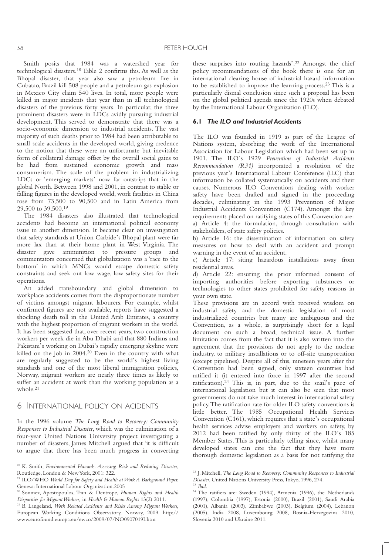Smith posits that 1984 was a watershed year for technological disasters.18 Table 2 confirms this. As well as the Bhopal disaster, that year also saw a petroleum fire in Cubatao, Brazil kill 508 people and a petroleum gas explosion in Mexico City claim 540 lives. In total, more people were killed in major incidents that year than in all technological disasters of the previous forty years. In particular, the three prominent disasters were in LDCs avidly pursuing industrial development. This served to demonstrate that there was a socio-economic dimension to industrial accidents. The vast majority of such deaths prior to 1984 had been attributable to small-scale accidents in the developed world, giving credence to the notion that these were an unfortunate but inevitable form of collateral damage offset by the overall social gains to be had from sustained economic growth and mass consumerism. The scale of the problem in industrializing LDCs or 'emerging markets' now far outstrips that in the global North. Between 1998 and 2001, in contrast to stable or falling figures in the developed world, work fatalities in China rose from 73,500 to 90,500 and in Latin America from 29,500 to 39,500.19

The 1984 disasters also illustrated that technological accidents had become an international political economy issue in another dimension. It became clear on investigation that safety standards at Union Carbide's Bhopal plant were far more lax than at their home plant in West Virginia. The disaster gave ammunition to pressure groups and commentators concerned that globalization was a 'race to the bottom' in which MNCs would escape domestic safety constraints and seek out low-wage, low-safety sites for their operations.

An added transboundary and global dimension to workplace accidents comes from the disproportionate number of victims amongst migrant labourers. For example, whilst confirmed figures are not available, reports have suggested a shocking death toll in the United Arab Emirates, a country with the highest proportion of migrant workers in the world. It has been suggested that, over recent years, two construction workers per week die in Abu Dhabi and that 880 Indians and Pakistani's working on Dubai's rapidly emerging skyline were killed on the job in  $2004<sup>20</sup>$  Even in the country with what are regularly suggested to be the world's highest living standards and one of the most liberal immigration policies, Norway, migrant workers are nearly three times as likely to suffer an accident at work than the working population as a whole  $21$ 

#### 6 INTERNATIONAL POLICY ON ACIDENTS

In the 1996 volume *The Long Road to Recovery: Community Responses to Industrial Disaster*, which was the culmination of a four-year United Nations University project investigating a number of disasters, James Mitchell argued that 'it is difficult to argue that there has been much progress in converting

these surprises into routing hazards'. <sup>22</sup> Amongst the chief policy recommendations of the book there is one for an international clearing house of industrial hazard information to be established to improve the learning process.23 This is a particularly dismal conclusion since such a proposal has been on the global political agenda since the 1920s when debated by the International Labour Organization (ILO).

#### **6.1** *The ILO and Industrial Accidents*

The ILO was founded in 1919 as part of the League of Nations system, absorbing the work of the International Association for Labour Legislation which had been set up in 1901. The ILO's 1929 *Prevention of Industrial Accidents Recommendation (R31)* incorporated a resolution of the previous year's International Labour Conference (ILC) that information be collated systematically on accidents and their causes. Numerous ILO Conventions dealing with worker safety have been drafted and signed in the proceeding decades, culminating in the 1993 Prevention of Major Industrial Accidents Convention (C174). Amongst the key requirements placed on ratifying states of this Convention are: a) Article 4: the formulation, through consultation with stakeholders, of state safety policies.

b) Article 16: the dissemination of information on safety measures on how to deal with an accident and prompt warning in the event of an accident.

c) Article 17: siting hazardous installations away from residential areas.

d) Article 22: ensuring the prior informed consent of importing authorities before exporting substances or technologies to other states prohibited for safety reasons in your own state.

These provisions are in accord with received wisdom on industrial safety and the domestic legislation of most industrialized countries but many are ambiguous and the Convention, as a whole, is surprisingly short for a legal document on such a broad, technical issue. A further limitation comes from the fact that it is also written into the agreement that the provisions do not apply to the nuclear industry, to military installations or to off-site transportation (except pipelines). Despite all of this, nineteen years after the Convention had been signed, only sixteen countries had ratified it (it entered into force in 1997 after the second ratification).24 This is, in part, due to the snail's pace of international legislation but it can also be seen that most governments do not take much interest in international safety policy.The ratification rate for older ILO safety conventions is little better. The 1985 Occupational Health Services Convention (C161), which requires that a state's occupational health services advise employers and workers on safety, by 2012 had been ratified by only thirty of the ILO's 185 Member States. This is particularly telling since, whilst many developed states can cite the fact that they have more thorough domestic legislation as a basis for not ratifying the

<sup>18</sup> K. Smith, *Environmental Hazards. Assessing Risk and Reducing Disaster*, Routledge, London & NewYork, 2001: 322.

<sup>&</sup>lt;sup>19</sup> ILO/WHO *World Day for Safety and Health at Work A Background Paper.* Geneva: International Labour Organization.2005

<sup>20</sup> Sonmez, Apostopoulos, Tran & Dentrope, *Human Rights and Health Disparities for MigrantWorkers,* in *Health & Human Rights* 13(2) 2011.

<sup>21</sup> B. Langeland, *Work Related Accidents and Risks Among Migrant Workers,* European Working Conditions Observatory, Norway, 2009. http:// www.eurofound.europa.eu/ewco/2009/07/NO0907019I.htm

<sup>22</sup> J. Mitchell, *The Long Road to Recovery: Community Responses to Industrial Disaster*, United Nations University Press,Tokyo, 1996, 274. <sup>23</sup> *Ibid.*

<sup>&</sup>lt;sup>24</sup> The ratifiers are: Sweden (1994), Armenia (1996), the Netherlands (1997), Colombia (1997), Estonia (2000), Brazil (2001), Saudi Arabia (2001), Albania (2003), Zimbabwe (2003), Belgium (2004), Lebanon (2005), India 2008, Luxembourg 2008, Bosnia-Herzegovina 2010, Slovenia 2010 and Ukraine 2011.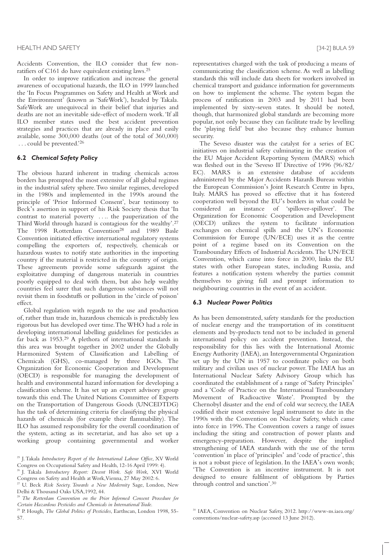Accidents Convention, the ILO consider that few nonratifiers of C161 do have equivalent existing laws.25

In order to improve ratification and increase the general awareness of occupational hazards, the ILO in 1999 launched the 'In Focus Programmes on Safety and Health at Work and the Environment' (known as 'SafeWork'), headed by Takala. SafeWork are unequivocal in their belief that injuries and deaths are not an inevitable side-effect of modern work.'If all ILO member states used the best accident prevention strategies and practices that are already in place and easily available, some 300,000 deaths (out of the total of 360,000) . . . could be prevented.'26

#### **6.2** *Chemical Safety Policy*

The obvious hazard inherent in trading chemicals across borders has prompted the most extensive of all global regimes in the industrial safety sphere.Two similar regimes, developed in the 1980s and implemented in the 1990s around the principle of 'Prior Informed Consent', bear testimony to Beck's assertion in support of his Risk Society thesis that 'In contrast to material poverty . . .. the pauperization of the Third World through hazard is contagious for the wealthy'.27 The 1998 Rotterdam Convention<sup>28</sup> and 1989 Basle Convention initiated effective international regulatory systems compelling the exporters of, respectively, chemicals or hazardous wastes to notify state authorities in the importing country if the material is restricted in the country of origin. These agreements provide some safeguards against the exploitative dumping of dangerous materials in countries poorly equipped to deal with them, but also help wealthy countries feel surer that such dangerous substances will not revisit them in foodstuffs or pollution in the 'circle of poison' effect.

Global regulation with regards to the use and production of, rather than trade in, hazardous chemicals is predictably less rigorous but has developed over time.TheWHO had a role in developing international labelling guidelines for pesticides as far back as 1953.29 A plethora of international standards in this area was brought together in 2002 under the Globally Harmonized System of Classification and Labelling of Chemicals (GHS), co-managed by three IGOs. The Organization for Economic Cooperation and Development (OECD) is responsible for managing the development of health and environmental hazard information for developing a classification scheme. It has set up an expert advisory group towards this end.The United Nations Committee of Experts on the Transportation of Dangerous Goods (UNCEDTDG) has the task of determining criteria for classifying the physical hazards of chemicals (for example their flammability). The ILO has assumed responsibility for the overall coordination of the system, acting as its secretariat, and has also set up a working group containing governmental and worker

representatives charged with the task of producing a means of communicating the classification scheme. As well as labelling standards this will include data sheets for workers involved in chemical transport and guidance information for governments on how to implement the scheme. The system began the process of ratification in 2003 and by 2011 had been implemented by sixty-seven states. It should be noted, though, that harmonized global standards are becoming more popular, not only because they can facilitate trade by levelling the 'playing field' but also because they enhance human security.

The Seveso disaster was the catalyst for a series of EC initiatives on industrial safety culminating in the creation of the EU Major Accident Reporting System (MARS) which was fleshed out in the 'Seveso II' Directive of 1996 (96/82/ EC). MARS is an extensive database of accidents administered by the Major Accidents Hazards Bureau within the European Commission's Joint Research Centre in Ispra, Italy. MARS has proved so effective that it has fostered cooperation well beyond the EU's borders in what could be considered an instance of 'spillover-spillover'. The Organization for Economic Cooperation and Development (OECD) utilizes the system to facilitate information exchanges on chemical spills and the UN's Economic Commission for Europe (UN/ECE) uses it as the centre point of a regime based on its Convention on the Transboundary Effects of Industrial Accidents.The UN/ECE Convention, which came into force in 2000, links the EU states with other European states, including Russia, and features a notification system whereby the parties commit themselves to giving full and prompt information to neighbouring countries in the event of an accident.

#### **6.3** *Nuclear Power Politics*

As has been demonstrated, safety standards for the production of nuclear energy and the transportation of its constituent elements and by-products tend not to be included in general international policy on accident prevention. Instead, the responsibility for this lies with the International Atomic Energy Authority (IAEA), an Intergovernmental Organization set up by the UN in 1957 to coordinate policy on both military and civilian uses of nuclear power.The IAEA has an International Nuclear Safety Advisory Group which has coordinated the establishment of a range of 'Safety Principles' and a 'Code of Practice on the International Transboundary Movement of Radioactive Waste'. Prompted by the Chernobyl disaster and the end of cold war secrecy, the IAEA codified their most extensive legal instrument to date in the 1990s with the Convention on Nuclear Safety, which came into force in 1996. The Convention covers a range of issues including the siting and construction of power plants and emergency-preparation. However, despite the implied strengthening of IAEA standards with the use of the term 'convention' in place of 'principles' and 'code of practice', this is not a robust piece of legislation. In the IAEA's own words; 'The Convention is an incentive instrument. It is not designed to ensure fulfilment of obligations by Parties through control and sanction'.30

<sup>25</sup> J. Takala *Introductory Report of the International Labour Office*, XV World Congress on Occupational Safety and Health, 12-16 April 1999: 4).

<sup>26</sup> J. Takala *Introductory Report: Decent Work. Safe Work*, XVI World Congress on Safety and Health atWork,Vienna, 27 May 2002: 6.

<sup>27</sup> U. Beck *Risk Society. Towards a New Modernity* Sage, London, New Delhi & Thousand Oaks USA,1992, 44.

<sup>28</sup> *The Rotterdam Convention on the Prior Informed Consent Procedure for Certain Hazardous Pesticides and Chemicals in InternationalTrade.*

<sup>29</sup> P. Hough, *The Global Politics of Pesticides*, Earthscan, London 1998, 55- 57.

<sup>30</sup> IAEA, Convention on Nuclear Safety, 2012. http://www-ns.iaea.org/ conventions/nuclear-safety.asp (accessed 13 June 2012).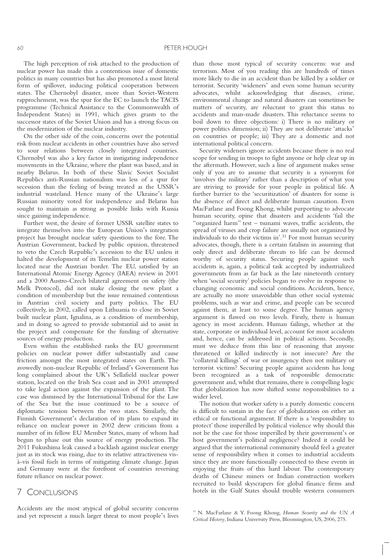The high perception of risk attached to the production of nuclear power has made this a contentious issue of domestic politics in many countries but has also promoted a most literal form of spillover, inducing political cooperation between states. The Chernobyl disaster, more than Soviet-Western rapprochement, was the spur for the EC to launch the TACIS programme (Technical Assistance to the Commonwealth of Independent States) in 1991, which gives grants to the successor states of the Soviet Union and has a strong focus on the modernization of the nuclear industry.

On the other side of the coin, concerns over the potential risk from nuclear accidents in other countries have also served to sour relations between closely integrated countries. Chernobyl was also a key factor in instigating independence movements in the Ukraine, where the plant was based, and in nearby Belarus. In both of these Slavic Soviet Socialist Republics anti-Russian nationalism was less of a spur for secession than the feeling of being treated as the USSR's industrial wasteland. Hence many of the Ukraine's large Russian minority voted for independence and Belarus has sought to maintain as strong as possible links with Russia since gaining independence.

Further west, the desire of former USSR satellite states to integrate themselves into the European Union's integration project has brought nuclear safety questions to the fore. The Austrian Government, backed by public opinion, threatened to veto the Czech Republic's accession to the EU unless it halted the development of its Temelin nuclear power station located near the Austrian border. The EU, satisfied by an International Atomic Energy Agency (IAEA) review in 2001 and a 2000 Austro-Czech bilateral agreement on safety (the Melk Protocol), did not make closing the new plant a condition of membership but the issue remained contentious in Austrian civil society and party politics. The EU collectively, in 2002, called upon Lithuania to close its Soviet built nuclear plant, Ignalina, as a condition of membership, and in doing so agreed to provide substantial aid to assist in the project and compensate for the funding of alternative sources of energy production.

Even within the established ranks the EU government policies on nuclear power differ substantially and cause friction amongst the most integrated states on Earth. The avowedly non-nuclear Republic of Ireland's Government has long complained about the UK's Sellafield nuclear power station, located on the Irish Sea coast and in 2001 attempted to take legal action against the expansion of the plant. The case was dismissed by the International Tribunal for the Law of the Sea but the issue continued to be a source of diplomatic tension between the two states. Similarly, the Finnish Government's declaration of its plans to expand its reliance on nuclear power in 2002 drew criticism from a number of its fellow EU Member States, many of whom had begun to phase out this source of energy production. The 2011 Fukushima leak caused a backlash against nuclear energy just as its stock was rising, due to its relative attractiveness visà-vis fossil fuels in terms of mitigating climate change. Japan and Germany were at the forefront of countries reversing future reliance on nuclear power.

#### 7 CONCLUSIONS

Accidents are the most atypical of global security concerns and yet represent a much larger threat to most people's lives than those most typical of security concerns: war and terrorism. Most of you reading this are hundreds of times more likely to die in an accident than be killed by a soldier or terrorist. Security 'wideners' and even some human security advocates, whilst acknowledging that diseases, crime, environmental change and natural disasters can sometimes be matters of security, are reluctant to grant this status to accidents and man-made disasters. This reluctance seems to boil down to three objections: i) There is no military or power politics dimension; ii) They are not deliberate 'attacks' on countries or people; iii) They are a domestic and not international political concern.

Security wideners ignore accidents because there is no real scope for sending in troops to fight anyone or help clear up in the aftermath. However, such a line of argument makes sense only if you are to assume that security is a synonym for 'involves the military' rather than a description of what you are striving to provide for your people in political life. A further barrier to the 'securitization' of disasters for some is the absence of direct and deliberate human causation. Even MacFarlane and Foong Khong, whilst purporting to advocate human security, opine that disasters and accidents 'fail the "organized harm" test – tsunami waves, traffic accidents, the spread of viruses and crop failure are usually not organized by individuals to do their victims in'.31 For most human security advocates, though, there is a certain fatalism in assuming that only direct and deliberate threats to life can be deemed worthy of security status. Securing people against such accidents is, again, a political task accepted by industrialized governments from as far back as the late nineteenth century when 'social security' policies began to evolve in response to changing economic and social conditions. Accidents, hence, are actually no more unavoidable than other social systemic problems, such as war and crime, and people can be secured against them, at least to some degree. The human agency argument is flawed on two levels. Firstly, there is human agency in most accidents. Human failings, whether at the state, corporate or individual level, account for most accidents and, hence, can be addressed in political actions. Secondly, must we deduce from this line of reasoning that anyone threatened or killed indirectly is not insecure? Are the 'collateral killings' of war or insurgency then not military or terrorist victims? Securing people against accidents has long been recognized as a task of responsible democratic government and, whilst that remains, there is compelling logic that globalization has now shifted some responsibilities to a wider level.

The notion that worker safety is a purely domestic concern is difficult to sustain in the face of globalization on either an ethical or functional argument. If there is a 'responsibility to protect' those imperilled by political violence why should this not be the case for those imperilled by their government's or host government's political negligence? Indeed it could be argued that the international community should feel a greater sense of responsibility when it comes to industrial accidents since they are more functionally connected to these events in enjoying the fruits of this hard labour. The contemporary deaths of Chinese miners or Indian construction workers recruited to build skyscrapers for global finance firms and hotels in the Gulf States should trouble western consumers

<sup>31</sup> N. MacFarlane & Y. Foong Khong, *Human Security and the UN. A Critical History*, Indiana University Press, Bloomington, US, 2006, 275.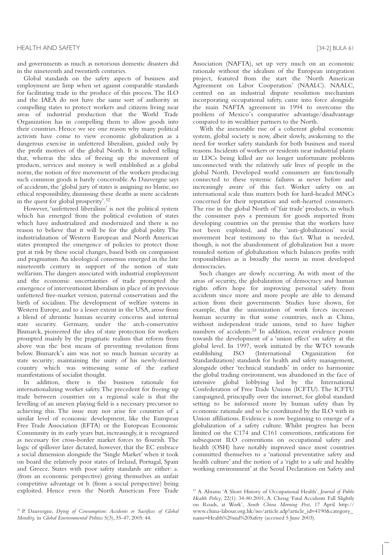and governments as much as notorious domestic disasters did in the nineteenth and twentieth centuries.

Global standards on the safety aspects of business and employment are limp when set against comparable standards for facilitating trade in the produce of this process. The ILO and the IAEA do not have the same sort of authority in compelling states to protect workers and citizens living near areas of industrial production that the World Trade Organization has in compelling them to allow goods into their countries. Hence we see one reason why many political activists have come to view economic globalization as a dangerous exercise in unfettered liberalism, guided only by the profit motives of the global North. It is indeed telling that, whereas the idea of freeing up the movement of products, services and money is well established as a global norm, the notion of free movement of the workers producing such common goods is barely conceivable. As Dauvergne says of accidents, the 'global jury of states is assigning no blame, no ethical responsibility, dismissing these deaths as mere accidents in the quest for global prosperity'.32

However, 'unfettered liberalism' is not the political system which has emerged from the political evolution of states which have industrialized and modernized and there is no reason to believe that it will be for the global polity. The industrialization of Western European and North American states prompted the emergence of policies to protect those put at risk by these social changes, based both on compassion and pragmatism.An ideological consensus emerged in the late nineteenth century in support of the notion of state welfarism.The dangers associated with industrial employment and the economic uncertainties of trade prompted the emergence of interventionist liberalism in place of its previous unfettered free-market version, paternal conservatism and the birth of socialism. The development of welfare systems in Western Europe, and to a lesser extent in the USA, arose from a blend of altruistic human security concerns and internal state security. Germany, under the arch-conservative Bismarck, pioneered the idea of state protection for workers prompted mainly by the pragmatic realism that reform from above was the best means of preventing revolution from below. Bismarck's aim was not so much human security as state security; maintaining the unity of his newly-formed country which was witnessing some of the earliest manifestations of socialist thought.

In addition, there is the business rationale for internationalizing worker safety.The precedent for freeing up trade between countries on a regional scale is that the levelling of an uneven playing field is a necessary precursor to achieving this. The issue may not arise for countries of a similar level of economic development, like the European Free Trade Association (EFTA) or the European Economic Community in its early years but, increasingly, it is recognized as necessary for cross-border market forces to flourish. The logic of spillover later dictated, however, that the EC embrace a social dimension alongside the 'Single Market' when it took on board the relatively poor states of Ireland, Portugal, Spain and Greece. States with poor safety standards are either: a. (from an economic perspective) giving themselves an unfair competitive advantage or b. (from a social perspective) being exploited. Hence even the North American Free Trade Association (NAFTA), set up very much on an economic rationale without the idealism of the European integration project, featured from the start the 'North American Agreement on Labor Cooperation' (NAALC). NAALC, centred on an industrial dispute resolution mechanism incorporating occupational safety, came into force alongside the main NAFTA agreement in 1994 to overcome the problem of Mexico's comparative advantage/disadvantage compared to its wealthier partners to the North.

With the inexorable rise of a coherent global economic system, global society is now, albeit slowly, awakening to the need for worker safety standards for both business and moral reasons. Incidents of workers or residents near industrial plants in LDCs being killed are no longer unfortunate problems unconnected with the relatively safe lives of people in the global North. Developed world consumers are functionally connected to these systemic failures as never before and increasingly aware of this fact. Worker safety on an international scale thus matters both for hard-headed MNCs concerned for their reputation and soft-hearted consumers. The rise in the global North of 'fair trade' products, in which the consumer pays a premium for goods imported from developing countries on the premise that the workers have not been exploited, and the 'anti-globalization' social movement bear testimony to this fact. What is needed, though, is not the abandonment of globalization but a more rounded notion of globalization which balances profits with responsibilities as is broadly the norm in most developed democracies.

Such changes are slowly occurring. As with most of the areas of security, the globalization of democracy and human rights offers hope for improving personal safety from accidents since more and more people are able to demand action from their governments. Studies have shown, for example, that the unionization of work forces increases human security in that some countries, such as China, without independent trade unions, tend to have higher numbers of accidents.33 In addition, recent evidence points towards the development of a 'union effect' on safety at the global level. In 1997, work initiated by the WTO towards establishing ISO (International Organization for Standardization) standards for health and safety management, alongside other 'technical standards' in order to harmonize the global trading environment, was abandoned in the face of intensive global lobbying led by the International Confederation of Free Trade Unions (ICFTU). The ICFTU campaigned, principally over the internet, for global standard setting to be informed more by human safety than by economic rationale and so be coordinated by the ILO with its Union affiliations. Evidence is now beginning to emerge of a globalization of a safety culture. Whilst progress has been limited on the C174 and C161 conventions, ratifications for subsequent ILO conventions on occupational safety and health (OSH) have notably improved since most countries committed themselves to a 'national preventative safety and health culture' and the notion of a 'right to a safe and healthy working environment' at the Seoul Declaration on Safety and

<sup>32</sup> P. Dauvergne, *Dying of Consumption: Accidents or Sacrifices of Global Morality,* in *Global Environmental Politics* 5(3), 35-47, 2005: 44.

<sup>33</sup> A. Abrams 'A Short History of Occupational Health', *Journal of Public Health Policy*, 22(1): 34-80.2001, A. Cheng 'Fatal Accidents Fall Slightly on Roads, at Work', *South China Morning Post*, 17 April http:// www.china-labour.org.hk/iso/article.adp?article\_id=4190&category\_ name=Health%20and%20Safety (accessed 5 June 2003).